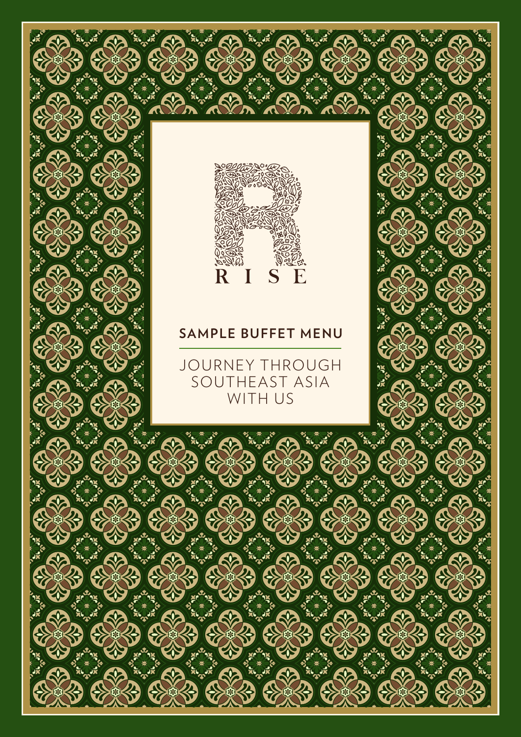

W

# **SAMPLE BUFFET MENU**

JOURNEY THROUGH SOUTHEAST ASIA WITH US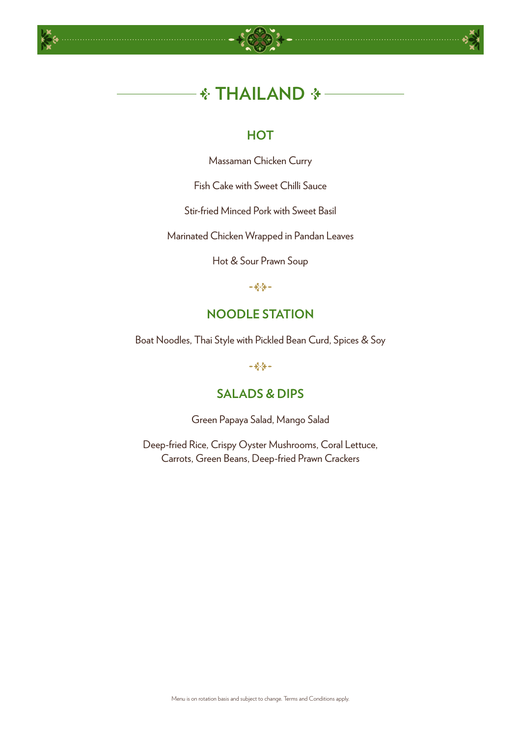



# *<b>∜* THAILAND

# **HOT**

Massaman Chicken Curry

Fish Cake with Sweet Chilli Sauce

Stir-fried Minced Pork with Sweet Basil

Marinated Chicken Wrapped in Pandan Leaves

Hot & Sour Prawn Soup

 $-28$ 

# **NOODLE STATION**

Boat Noodles, Thai Style with Pickled Bean Curd, Spices & Soy

 $-28 -$ 

# **SALADS & DIPS**

Green Papaya Salad, Mango Salad

Deep-fried Rice, Crispy Oyster Mushrooms, Coral Lettuce, Carrots, Green Beans, Deep-fried Prawn Crackers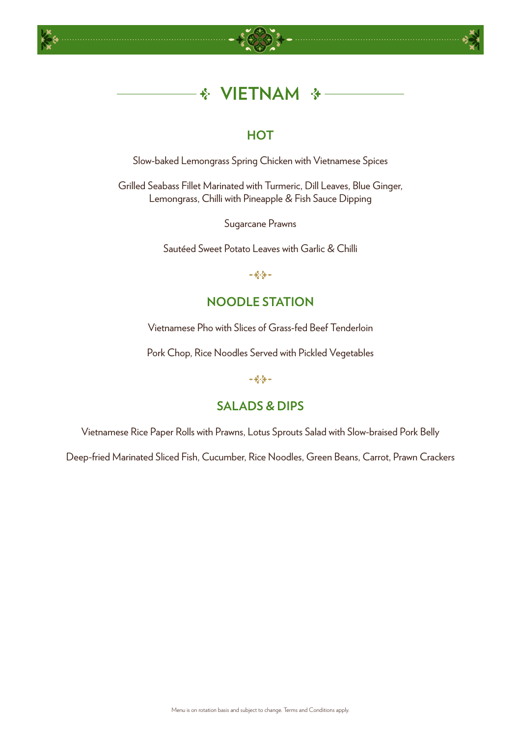





#### $\frac{1}{2}$ **VIETNAM**  $\cdot$   $\cdot$

# **HOT**

Slow-baked Lemongrass Spring Chicken with Vietnamese Spices

Grilled Seabass Fillet Marinated with Turmeric, Dill Leaves, Blue Ginger, Lemongrass, Chilli with Pineapple & Fish Sauce Dipping

Sugarcane Prawns

Sautéed Sweet Potato Leaves with Garlic & Chilli

 $-484-$ 

# **NOODLE STATION**

Vietnamese Pho with Slices of Grass-fed Beef Tenderloin

Pork Chop, Rice Noodles Served with Pickled Vegetables

 $-484-$ 

# **SALADS & DIPS**

Vietnamese Rice Paper Rolls with Prawns, Lotus Sprouts Salad with Slow-braised Pork Belly

Deep-fried Marinated Sliced Fish, Cucumber, Rice Noodles, Green Beans, Carrot, Prawn Crackers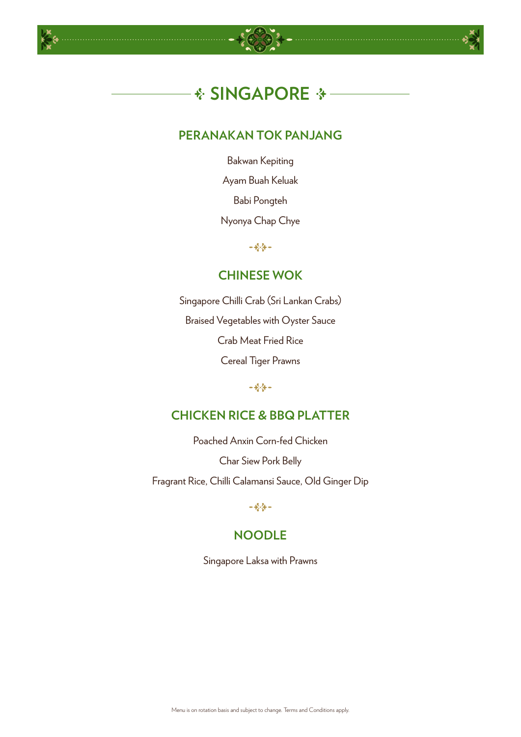





# **PERANAKAN TOK PANJANG**

Bakwan Kepiting

Ayam Buah Keluak

Babi Pongteh

Nyonya Chap Chye

 $-484-$ 

### **CHINESE WOK**

Singapore Chilli Crab (Sri Lankan Crabs) Braised Vegetables with Oyster Sauce Crab Meat Fried Rice Cereal Tiger Prawns

# **CHICKEN RICE & BBQ PLATTER**

Poached Anxin Corn-fed Chicken

Char Siew Pork Belly

Fragrant Rice, Chilli Calamansi Sauce, Old Ginger Dip

 $-28$ 

# **NOODLE**

Singapore Laksa with Prawns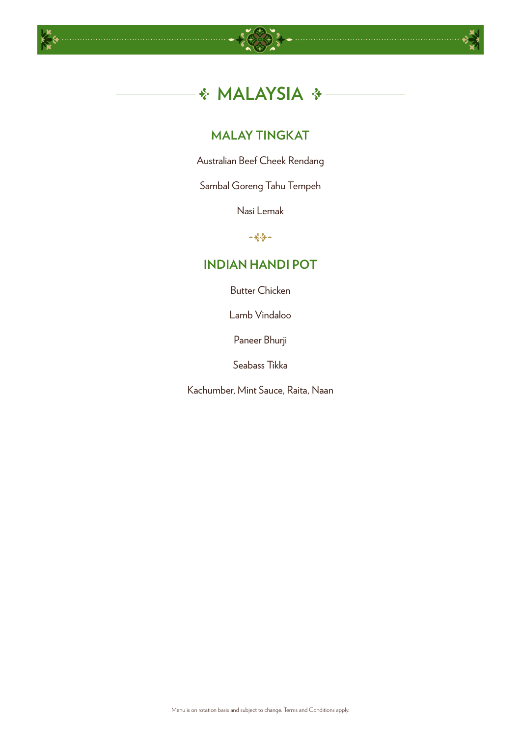





# **MALAY TINGKAT**

Australian Beef Cheek Rendang

Sambal Goreng Tahu Tempeh

Nasi Lemak

 $-4/3-$ 

# **INDIAN HANDI POT**

Butter Chicken

Lamb Vindaloo

Paneer Bhurji

Seabass Tikka

Kachumber, Mint Sauce, Raita, Naan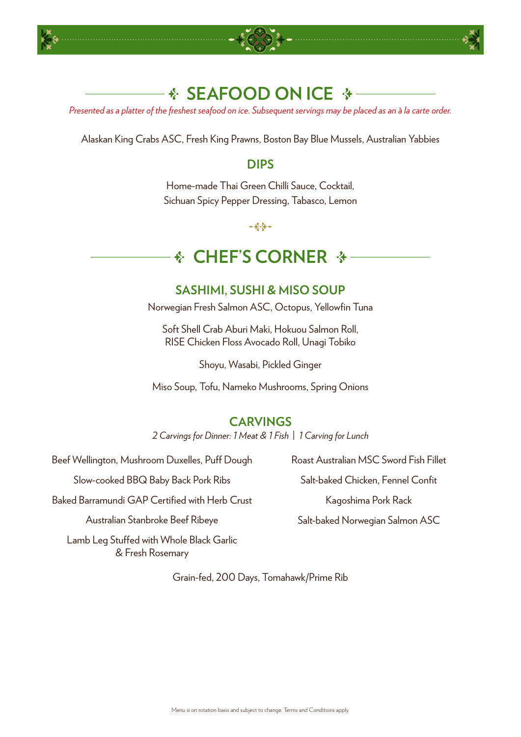





# **SEAFOOD ON ICE ↑**

*Presented as a platter of the freshest seafood on ice. Subsequent servings may be placed as an à la carte order.*

Alaskan King Crabs ASC, Fresh King Prawns, Boston Bay Blue Mussels, Australian Yabbies

### **DIPS**

Home-made Thai Green Chilli Sauce, Cocktail, Sichuan Spicy Pepper Dressing, Tabasco, Lemon

 $-284-$ 

#### **CHEF'S CORNER**  $\frac{1}{2}$

# **SASHIMI, SUSHI & MISO SOUP**

Norwegian Fresh Salmon ASC, Octopus, Yellowfin Tuna

Soft Shell Crab Aburi Maki, Hokuou Salmon Roll, RISE Chicken Floss Avocado Roll, Unagi Tobiko

Shoyu, Wasabi, Pickled Ginger

Miso Soup, Tofu, Nameko Mushrooms, Spring Onions

# **CARVINGS**

*2 Carvings for Dinner: 1 Meat & 1 Fish* | *1 Carving for Lunch*

Beef Wellington, Mushroom Duxelles, Puff Dough

Slow-cooked BBQ Baby Back Pork Ribs

Baked Barramundi GAP Certified with Herb Crust

Australian Stanbroke Beef Ribeye

Lamb Leg Stuffed with Whole Black Garlic & Fresh Rosemary

Grain-fed, 200 Days, Tomahawk/Prime Rib

Roast Australian MSC Sword Fish Fillet Salt-baked Chicken, Fennel Confit Kagoshima Pork Rack

Salt-baked Norwegian Salmon ASC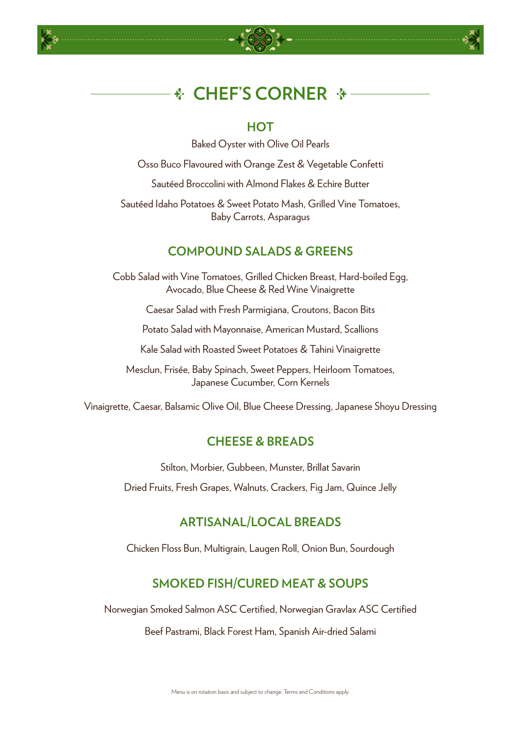





### **HOT**

Baked Oyster with Olive Oil Pearls

Osso Buco Flavoured with Orange Zest & Vegetable Confetti

Sautéed Broccolini with Almond Flakes & Echire Butter

Sautéed Idaho Potatoes & Sweet Potato Mash, Grilled Vine Tomatoes, Baby Carrots, Asparagus

# **COMPOUND SALADS & GREENS**

Cobb Salad with Vine Tomatoes, Grilled Chicken Breast, Hard-boiled Egg, Avocado, Blue Cheese & Red Wine Vinaigrette

Caesar Salad with Fresh Parmigiana, Croutons, Bacon Bits

Potato Salad with Mayonnaise, American Mustard, Scallions

Kale Salad with Roasted Sweet Potatoes & Tahini Vinaigrette

Mesclun, Frisée, Baby Spinach, Sweet Peppers, Heirloom Tomatoes, Japanese Cucumber, Corn Kernels

Vinaigrette, Caesar, Balsamic Olive Oil, Blue Cheese Dressing, Japanese Shoyu Dressing

### **CHEESE & BREADS**

Stilton, Morbier, Gubbeen, Munster, Brillat Savarin

Dried Fruits, Fresh Grapes, Walnuts, Crackers, Fig Jam, Quince Jelly

### **ARTISANAL/LOCAL BREADS**

Chicken Floss Bun, Multigrain, Laugen Roll, Onion Bun, Sourdough

# **SMOKED FISH/CURED MEAT & SOUPS**

Norwegian Smoked Salmon ASC Certified, Norwegian Gravlax ASC Certified

Beef Pastrami, Black Forest Ham, Spanish Air-dried Salami